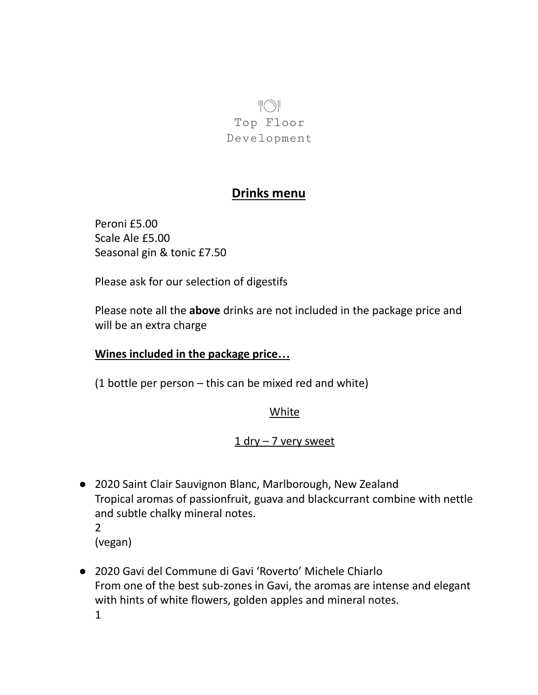$\Vert \bigcirc \Vert$ Top Floor Development

# **Drinks menu**

Peroni £5.00 Scale Ale £5.00 Seasonal gin & tonic £7.50

Please ask for our selection of digestifs

Please note all the **above** drinks are not included in the package price and will be an extra charge

## **Wines included in the package price…**

(1 bottle per person – this can be mixed red and white)

### **White**

### 1 dry – 7 very sweet

- 2020 Saint Clair Sauvignon Blanc, Marlborough, New Zealand Tropical aromas of passionfruit, guava and blackcurrant combine with nettle and subtle chalky mineral notes. 2
	- (vegan)
- 2020 Gavi del Commune di Gavi 'Roverto' Michele Chiarlo From one of the best sub-zones in Gavi, the aromas are intense and elegant with hints of white flowers, golden apples and mineral notes. 1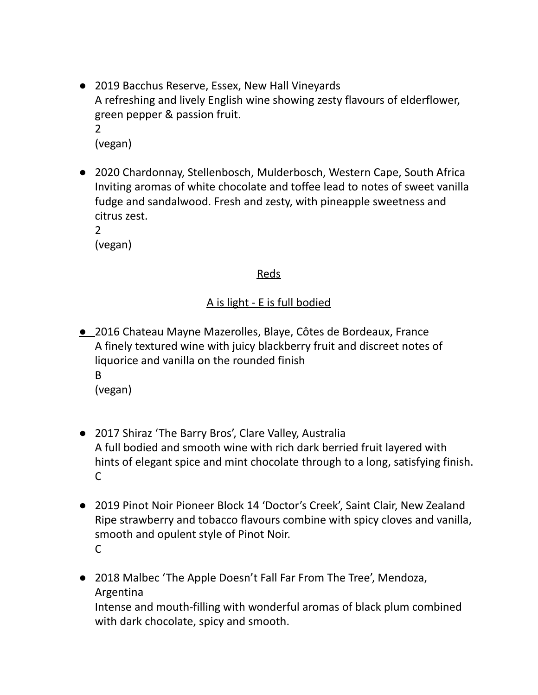- 2019 Bacchus Reserve, Essex, New Hall Vineyards A refreshing and lively English wine showing zesty flavours of elderflower, green pepper & passion fruit. 2 (vegan)
- 2020 Chardonnay, Stellenbosch, Mulderbosch, Western Cape, South Africa Inviting aromas of white chocolate and toffee lead to notes of sweet vanilla fudge and sandalwood. Fresh and zesty, with pineapple sweetness and citrus zest.

2 (vegan)

### Reds

### A is light - E is full bodied

- 2016 Chateau Mayne Mazerolles, Blaye, Côtes de Bordeaux, France A finely textured wine with juicy blackberry fruit and discreet notes of liquorice and vanilla on the rounded finish B (vegan)
- 2017 Shiraz 'The Barry Bros', Clare Valley, Australia A full bodied and smooth wine with rich dark berried fruit layered with hints of elegant spice and mint chocolate through to a long, satisfying finish. C
- 2019 Pinot Noir Pioneer Block 14 'Doctor's Creek', Saint Clair, New Zealand Ripe strawberry and tobacco flavours combine with spicy cloves and vanilla, smooth and opulent style of Pinot Noir. C
- 2018 Malbec 'The Apple Doesn't Fall Far From The Tree', Mendoza, Argentina Intense and mouth-filling with wonderful aromas of black plum combined

with dark chocolate, spicy and smooth.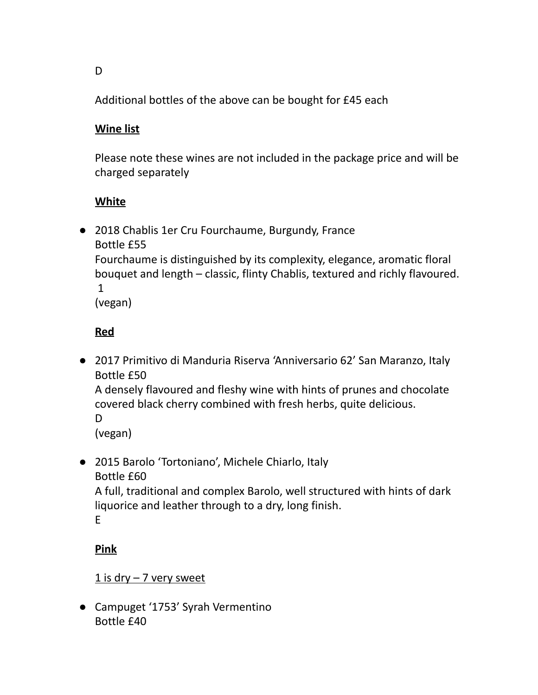Additional bottles of the above can be bought for £45 each

# **Wine list**

Please note these wines are not included in the package price and will be charged separately

# **White**

● 2018 Chablis 1er Cru Fourchaume, Burgundy, France Bottle £55 Fourchaume is distinguished by its complexity, elegance, aromatic floral bouquet and length – classic, flinty Chablis, textured and richly flavoured. 1

(vegan)

# **Red**

● 2017 Primitivo di Manduria Riserva 'Anniversario 62' San Maranzo, Italy Bottle £50

A densely flavoured and fleshy wine with hints of prunes and chocolate covered black cherry combined with fresh herbs, quite delicious.

D

(vegan)

● 2015 Barolo 'Tortoniano', Michele Chiarlo, Italy Bottle £60 A full, traditional and complex Barolo, well structured with hints of dark liquorice and leather through to a dry, long finish.

E

# **Pink**

### $1$  is dry  $-7$  very sweet

● Campuget '1753' Syrah Vermentino Bottle £40

D